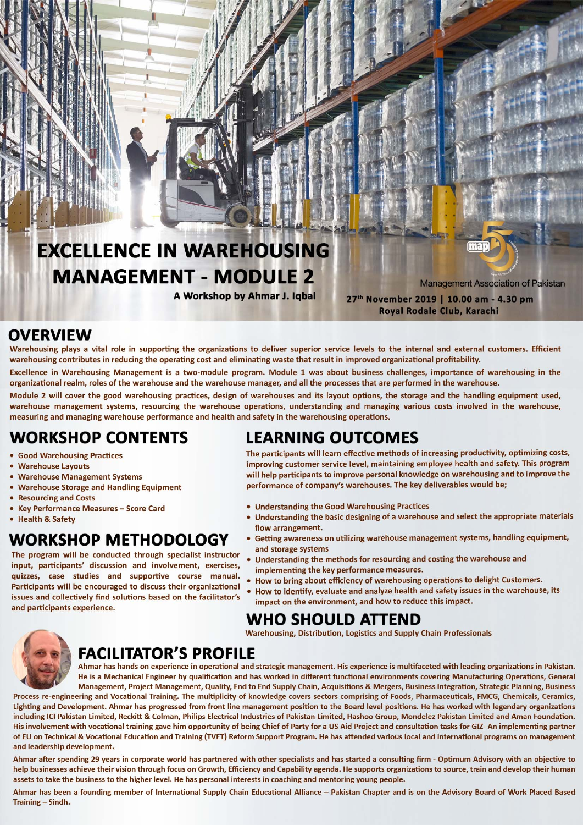# **EXCELLENCE IN WAREHOUSING MANAGEMENT - MODULE 2**

A Workshop by Ahmar J. Iqbal

**Management Association of Pakistan** 27<sup>th</sup> November 2019 | 10.00 am - 4.30 pm Royal Rodale Club, Karachi

man

#### **OVERVIEW**

Warehousing plays a vital role in supporting the organizations to deliver superior service levels to the internal and external customers. Efficient warehousing contributes in reducing the operating cost and eliminating waste that result in improved organizational profitability.

Excellence in Warehousing Management is a two-module program. Module 1 was about business challenges, importance of warehousing in the organizational realm, roles of the warehouse and the warehouse manager, and all the processes that are performed in the warehouse.

Module 2 will cover the good warehousing practices, design of warehouses and its layout options, the storage and the handling equipment used, warehouse management systems, resourcing the warehouse operations, understanding and managing various costs involved in the warehouse, measuring and managing warehouse performance and health and safety in the warehousing operations.

## **WORKSHOP CONTENTS**

- Good Warehousing Practices
- Warehouse Layouts
- Warehouse Management Systems
- Warehouse Storage and Handling Equipment
- Resourcing and Costs
- Key Performance Measures Score Card
- Health & Safety

## **WORKSHOP METHODOLOGY**

The program will be conducted through specialist instructor input, participants' discussion and involvement, exercises, quizzes, case studies and supportive course manual. Participants will be encouraged to discuss their organizational issues and collectively find solutions based on the facilitator's and participants experience.

### **LEARNING OUTCOMES**

The participants will learn effective methods of increasing productivity, optimizing costs, improving customer service level, maintaining employee health and safety. This program will help participants to improve personal knowledge on warehousing and to improve the performance of company's warehouses. The key deliverables would be;

- Understanding the Good Warehousing Practices
- . Understanding the basic designing of a warehouse and select the appropriate materials flow arrangement.
- · Getting awareness on utilizing warehouse management systems, handling equipment, and storage systems
- Understanding the methods for resourcing and costing the warehouse and implementing the key performance measures.
	- How to bring about efficiency of warehousing operations to delight Customers.
- How to identify, evaluate and analyze health and safety issues in the warehouse, its impact on the environment, and how to reduce this impact.

#### **WHO SHOULD ATTEND**

**Warehousing, Distribution, Logistics and Supply Chain Professionals** 



#### **FACILITATOR'S PROFILE**

Ahmar has hands on experience in operational and strategic management. His experience is multifaceted with leading organizations in Pakistan. He is a Mechanical Engineer by qualification and has worked in different functional environments covering Manufacturing Operations, General Management, Project Management, Quality, End to End Supply Chain, Acquisitions & Mergers, Business Integration, Strategic Planning, Business

Process re-engineering and Vocational Training. The multiplicity of knowledge covers sectors comprising of Foods, Pharmaceuticals, FMCG, Chemicals, Ceramics, Lighting and Development. Ahmar has progressed from front line management position to the Board level positions. He has worked with legendary organizations including ICI Pakistan Limited, Reckitt & Colman, Philips Electrical Industries of Pakistan Limited, Hashoo Group, Mondelez Pakistan Limited and Aman Foundation. His involvement with vocational training gave him opportunity of being Chief of Party for a US Aid Project and consultation tasks for GIZ- An implementing partner of EU on Technical & Vocational Education and Training (TVET) Reform Support Program. He has attended various local and international programs on management and leadership development.

Ahmar after spending 29 years in corporate world has partnered with other specialists and has started a consulting firm - Optimum Advisory with an objective to help businesses achieve their vision through focus on Growth, Efficiency and Capability agenda. He supports organizations to source, train and develop their human assets to take the business to the higher level. He has personal interests in coaching and mentoring young people.

Ahmar has been a founding member of International Supply Chain Educational Alliance - Pakistan Chapter and is on the Advisory Board of Work Placed Based **Training - Sindh.**